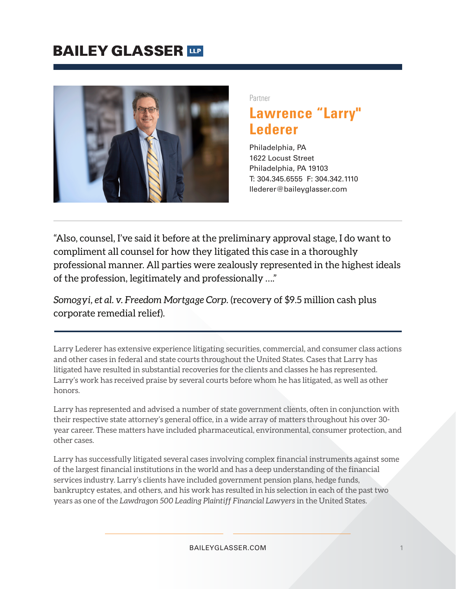

l,

Partner

# **Lawrence "Larry" Lederer**

Philadelphia, PA 1622 Locust Street Philadelphia, PA 19103 T: 304.345.6555 F: 304.342.1110 llederer@baileyglasser.com

"Also, counsel, I've said it before at the preliminary approval stage, I do want to compliment all counsel for how they litigated this case in a thoroughly professional manner. All parties were zealously represented in the highest ideals of the profession, legitimately and professionally …."

*Somogyi, et al. v. Freedom Mortgage Corp.* (recovery of \$9.5 million cash plus corporate remedial relief).

Larry Lederer has extensive experience litigating securities, commercial, and consumer class actions and other cases in federal and state courts throughout the United States. Cases that Larry has litigated have resulted in substantial recoveries for the clients and classes he has represented. Larry's work has received praise by several courts before whom he has litigated, as well as other honors.

Larry has represented and advised a number of state government clients, often in conjunction with their respective state attorney's general office, in a wide array of matters throughout his over 30 year career. These matters have included pharmaceutical, environmental, consumer protection, and other cases.

Larry has successfully litigated several cases involving complex financial instruments against some of the largest financial institutions in the world and has a deep understanding of the financial services industry. Larry's clients have included government pension plans, hedge funds, bankruptcy estates, and others, and his work has resulted in his selection in each of the past two years as one of the *Lawdragon 500 Leading Plaintiff Financial Lawyers* in the United States.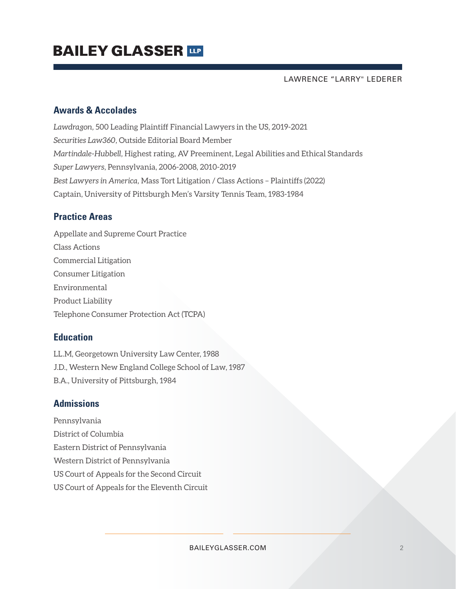LAWRENCE "LARRY" LEDERER

### **Awards & Accolades**

*Lawdragon,* 500 Leading Plaintiff Financial Lawyers in the US, 2019-2021 *Securities Law360,* Outside Editorial Board Member *Martindale-Hubbell,* Highest rating, AV Preeminent, Legal Abilities and Ethical Standards *Super Lawyers*, Pennsylvania, 2006-2008, 2010-2019 *Best Lawyers in America,* Mass Tort Litigation / Class Actions – Plaintiffs (2022) Captain, University of Pittsburgh Men's Varsity Tennis Team, 1983-1984

### **Practice Areas**

Appellate and Supreme Court Practice Class Actions Commercial Litigation Consumer Litigation Environmental Product Liability Telephone Consumer Protection Act (TCPA)

### **Education**

LL.M, Georgetown University Law Center, 1988 J.D., Western New England College School of Law, 1987 B.A., University of Pittsburgh, 1984

### **Admissions**

Pennsylvania District of Columbia Eastern District of Pennsylvania Western District of Pennsylvania US Court of Appeals for the Second Circuit US Court of Appeals for the Eleventh Circuit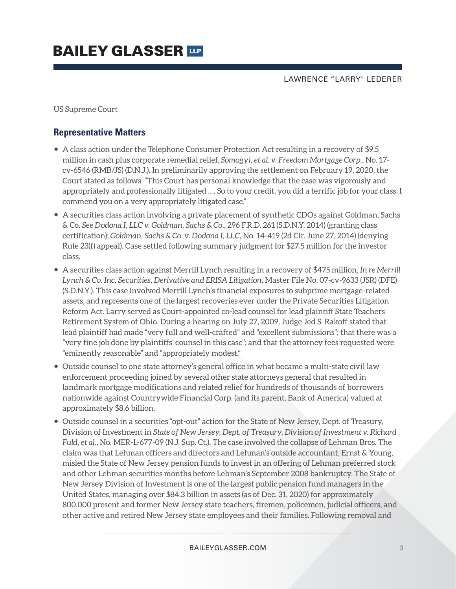LAWRENCE "LARRY" LEDERER

US Supreme Court

### **Representative Matters**

- A class action under the Telephone Consumer Protection Act resulting in a recovery of \$9.5 million in cash plus corporate remedial relief, *Somogyi, et al. v. Freedom Mortgage Corp.*, No. 17 cv-6546 (RMB/JS) (D.N.J.). In preliminarily approving the settlement on February 19, 2020, the Court stated as follows: "This Court has personal knowledge that the case was vigorously and appropriately and professionally litigated …. So to your credit, you did a terrific job for your class. I commend you on a very appropriately litigated case."
- A securities class action involving a private placement of synthetic CDOs against Goldman, Sachs & Co. *See Dodona I, LLC v. Goldman, Sachs & Co.*, 296 F.R.D. 261 (S.D.N.Y. 2014) (granting class certification); *Goldman, Sachs & Co. v. Dodona I, LLC*, No. 14-419 (2d Cir. June 27, 2014) (denying Rule 23(f) appeal). Case settled following summary judgment for \$27.5 million for the investor class.
- A securities class action against Merrill Lynch resulting in a recovery of \$475 million, *In re Merrill Lynch & Co. Inc. Securities, Derivative and ERISA Litigation*, Master File No. 07-cv-9633 (JSR) (DFE) (S.D.N.Y.). This case involved Merrill Lynch's financial exposures to subprime mortgage-related assets, and represents one of the largest recoveries ever under the Private Securities Litigation Reform Act. Larry served as Court-appointed co-lead counsel for lead plaintiff State Teachers Retirement System of Ohio. During a hearing on July 27, 2009, Judge Jed S. Rakoff stated that lead plaintiff had made "very full and well-crafted" and "excellent submissions"; that there was a "very fine job done by plaintiffs' counsel in this case"; and that the attorney fees requested were "eminently reasonable" and "appropriately modest."
- Outside counsel to one state attorney's general office in what became a multi-state civil law enforcement proceeding joined by several other state attorneys general that resulted in landmark mortgage modifications and related relief for hundreds of thousands of borrowers nationwide against Countrywide Financial Corp. (and its parent, Bank of America) valued at approximately \$8.6 billion.
- Outside counsel in a securities "opt-out" action for the State of New Jersey, Dept. of Treasury, Division of Investment in *State of New Jersey, Dept. of Treasury, Division of Investment v. Richard Fuld, et al.*, No. MER-L-677-09 (N.J. Sup. Ct.). The case involved the collapse of Lehman Bros. The claim was that Lehman officers and directors and Lehman's outside accountant, Ernst & Young, misled the State of New Jersey pension funds to invest in an offering of Lehman preferred stock and other Lehman securities months before Lehman's September 2008 bankruptcy. The State of New Jersey Division of Investment is one of the largest public pension fund managers in the United States, managing over \$84.3 billion in assets (as of Dec. 31, 2020) for approximately 800,000 present and former New Jersey state teachers, firemen, policemen, judicial officers, and other active and retired New Jersey state employees and their families. Following removal and